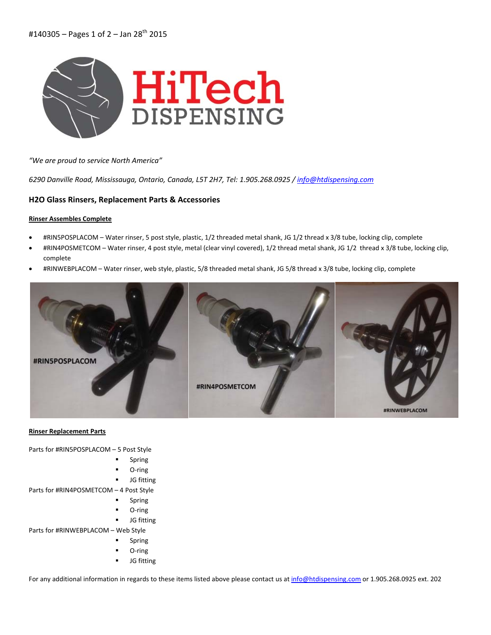

*"We are proud to service North America"*

*6290 Danville Road, Mississauga, Ontario, Canada, L5T 2H7, Tel: 1.905.268.0925 / info@htdispensing.com*

## **H2O Glass Rinsers, Replacement Parts & Accessories**

#### **Rinser Assembles Complete**

- #RIN5POSPLACOM Water rinser, 5 post style, plastic, 1/2 threaded metal shank, JG 1/2 thread x 3/8 tube, locking clip, complete
- #RIN4POSMETCOM Water rinser, 4 post style, metal (clear vinyl covered), 1/2 thread metal shank, JG 1/2 thread x 3/8 tube, locking clip, complete
- #RINWEBPLACOM Water rinser, web style, plastic, 5/8 threaded metal shank, JG 5/8 thread x 3/8 tube, locking clip, complete



#### **Rinser Replacement Parts**

Parts for #RIN5POSPLACOM – 5 Post Style

- Spring
- O‐ring
- JG fitting

Parts for #RIN4POSMETCOM – 4 Post Style

- Spring
- O‐ring
- JG fitting

Parts for #RINWEBPLACOM – Web Style

- Spring
- O‐ring
- JG fitting

For any additional information in regards to these items listed above please contact us at info@htdispensing.com or 1.905.268.0925 ext. 202